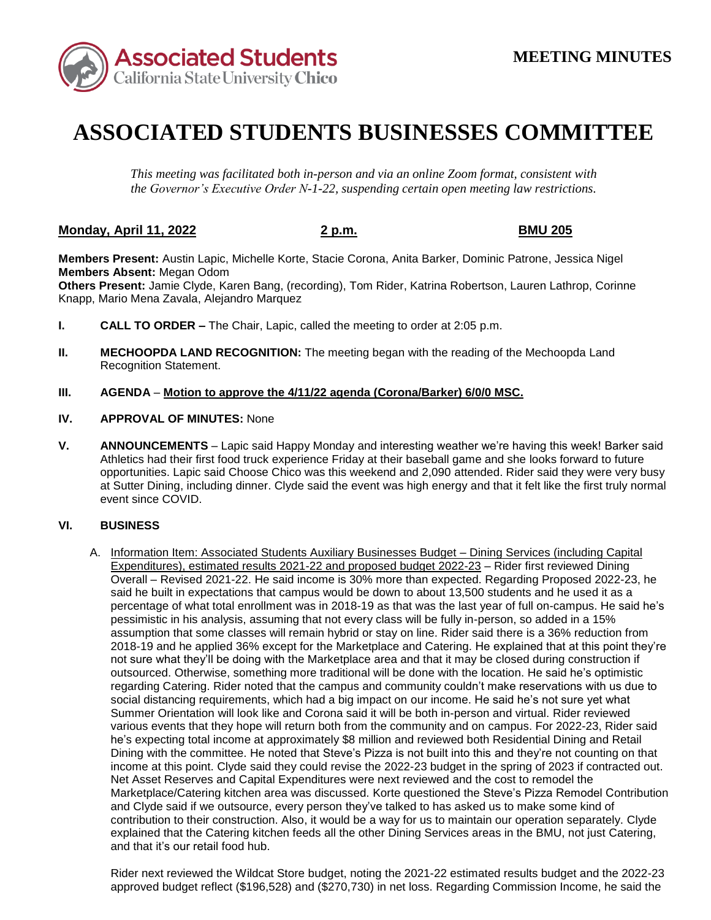

# **ASSOCIATED STUDENTS BUSINESSES COMMITTEE**

*This meeting was facilitated both in-person and via an online Zoom format, consistent with the Governor's Executive Order N-1-22, suspending certain open meeting law restrictions.* 

## **Monday, April 11, 2022 2 p.m. BMU 205**

**Members Present:** Austin Lapic, Michelle Korte, Stacie Corona, Anita Barker, Dominic Patrone, Jessica Nigel **Members Absent:** Megan Odom

**Others Present:** Jamie Clyde, Karen Bang, (recording), Tom Rider, Katrina Robertson, Lauren Lathrop, Corinne Knapp, Mario Mena Zavala, Alejandro Marquez

- **I. CALL TO ORDER –** The Chair, Lapic, called the meeting to order at 2:05 p.m.
- **II. MECHOOPDA LAND RECOGNITION:** The meeting began with the reading of the Mechoopda Land Recognition Statement.

### **III. AGENDA** – **Motion to approve the 4/11/22 agenda (Corona/Barker) 6/0/0 MSC.**

- **IV. APPROVAL OF MINUTES:** None
- **V. ANNOUNCEMENTS**  Lapic said Happy Monday and interesting weather we're having this week! Barker said Athletics had their first food truck experience Friday at their baseball game and she looks forward to future at Sutter Dining, including dinner. Clyde said the event was high energy and that it felt like the first truly normal opportunities. Lapic said Choose Chico was this weekend and 2,090 attended. Rider said they were very busy event since COVID.

### **VI. BUSINESS**

 pessimistic in his analysis, assuming that not every class will be fully in-person, so added in a 15% assumption that some classes will remain hybrid or stay on line. Rider said there is a 36% reduction from Summer Orientation will look like and Corona said it will be both in-person and virtual. Rider reviewed various events that they hope will return both from the community and on campus. For 2022-23, Rider said he's expecting total income at approximately \$8 million and reviewed both Residential Dining and Retail Dining with the committee. He noted that Steve's Pizza is not built into this and they're not counting on that income at this point. Clyde said they could revise the 2022-23 budget in the spring of 2023 if contracted out. Marketplace/Catering kitchen area was discussed. Korte questioned the Steve's Pizza Remodel Contribution A. Information Item: Associated Students Auxiliary Businesses Budget – Dining Services (including Capital Expenditures), estimated results 2021-22 and proposed budget 2022-23 – Rider first reviewed Dining Overall – Revised 2021-22. He said income is 30% more than expected. Regarding Proposed 2022-23, he said he built in expectations that campus would be down to about 13,500 students and he used it as a percentage of what total enrollment was in 2018-19 as that was the last year of full on-campus. He said he's 2018-19 and he applied 36% except for the Marketplace and Catering. He explained that at this point they're not sure what they'll be doing with the Marketplace area and that it may be closed during construction if outsourced. Otherwise, something more traditional will be done with the location. He said he's optimistic regarding Catering. Rider noted that the campus and community couldn't make reservations with us due to social distancing requirements, which had a big impact on our income. He said he's not sure yet what Net Asset Reserves and Capital Expenditures were next reviewed and the cost to remodel the and Clyde said if we outsource, every person they've talked to has asked us to make some kind of contribution to their construction. Also, it would be a way for us to maintain our operation separately. Clyde explained that the Catering kitchen feeds all the other Dining Services areas in the BMU, not just Catering, and that it's our retail food hub.

Rider next reviewed the Wildcat Store budget, noting the 2021-22 estimated results budget and the 2022-23 approved budget reflect (\$196,528) and (\$270,730) in net loss. Regarding Commission Income, he said the